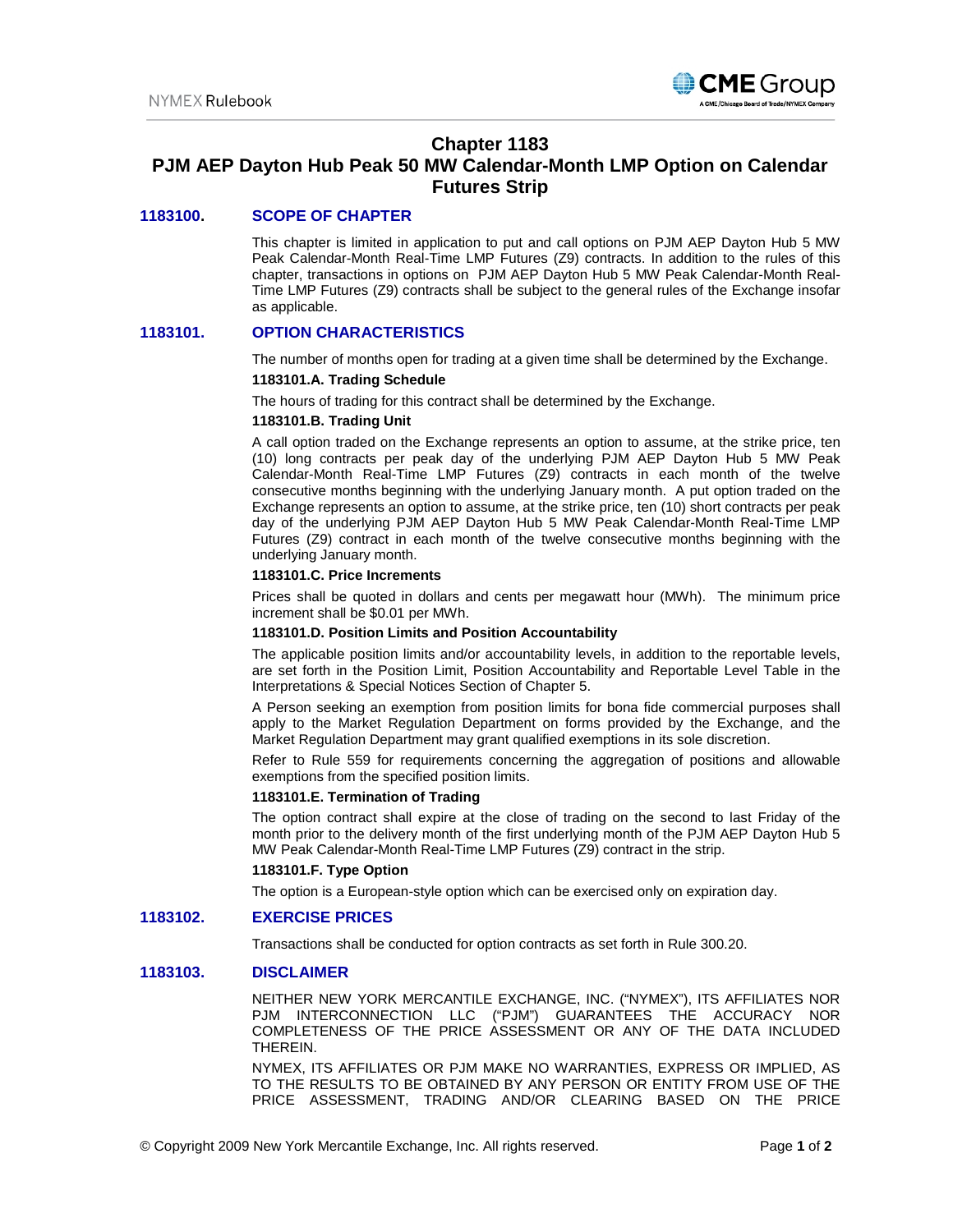

# **Chapter 1183**

# **PJM AEP Dayton Hub Peak 50 MW Calendar-Month LMP Option on Calendar Futures Strip**

# **1183100. SCOPE OF CHAPTER**

This chapter is limited in application to put and call options on PJM AEP Dayton Hub 5 MW Peak Calendar-Month Real-Time LMP Futures (Z9) contracts. In addition to the rules of this chapter, transactions in options on PJM AEP Dayton Hub 5 MW Peak Calendar-Month Real-Time LMP Futures (Z9) contracts shall be subject to the general rules of the Exchange insofar as applicable.

# **1183101. OPTION CHARACTERISTICS**

The number of months open for trading at a given time shall be determined by the Exchange.

#### **1183101.A. Trading Schedule**

The hours of trading for this contract shall be determined by the Exchange.

#### **1183101.B. Trading Unit**

A call option traded on the Exchange represents an option to assume, at the strike price, ten (10) long contracts per peak day of the underlying PJM AEP Dayton Hub 5 MW Peak Calendar-Month Real-Time LMP Futures (Z9) contracts in each month of the twelve consecutive months beginning with the underlying January month. A put option traded on the Exchange represents an option to assume, at the strike price, ten (10) short contracts per peak day of the underlying PJM AEP Dayton Hub 5 MW Peak Calendar-Month Real-Time LMP Futures (Z9) contract in each month of the twelve consecutive months beginning with the underlying January month.

#### **1183101.C. Price Increments**

Prices shall be quoted in dollars and cents per megawatt hour (MWh). The minimum price increment shall be \$0.01 per MWh.

#### **1183101.D. Position Limits and Position Accountability**

The applicable position limits and/or accountability levels, in addition to the reportable levels, are set forth in the Position Limit, Position Accountability and Reportable Level Table in the Interpretations & Special Notices Section of Chapter 5.

A Person seeking an exemption from position limits for bona fide commercial purposes shall apply to the Market Regulation Department on forms provided by the Exchange, and the Market Regulation Department may grant qualified exemptions in its sole discretion.

Refer to Rule 559 for requirements concerning the aggregation of positions and allowable exemptions from the specified position limits.

# **1183101.E. Termination of Trading**

The option contract shall expire at the close of trading on the second to last Friday of the month prior to the delivery month of the first underlying month of the PJM AEP Dayton Hub 5 MW Peak Calendar-Month Real-Time LMP Futures (Z9) contract in the strip.

# **1183101.F. Type Option**

The option is a European-style option which can be exercised only on expiration day.

# **1183102. EXERCISE PRICES**

Transactions shall be conducted for option contracts as set forth in Rule 300.20.

# **1183103. DISCLAIMER**

NEITHER NEW YORK MERCANTILE EXCHANGE, INC. ("NYMEX"), ITS AFFILIATES NOR PJM INTERCONNECTION LLC ("PJM") GUARANTEES THE ACCURACY NOR COMPLETENESS OF THE PRICE ASSESSMENT OR ANY OF THE DATA INCLUDED THEREIN.

NYMEX, ITS AFFILIATES OR PJM MAKE NO WARRANTIES, EXPRESS OR IMPLIED, AS TO THE RESULTS TO BE OBTAINED BY ANY PERSON OR ENTITY FROM USE OF THE PRICE ASSESSMENT, TRADING AND/OR CLEARING BASED ON THE PRICE